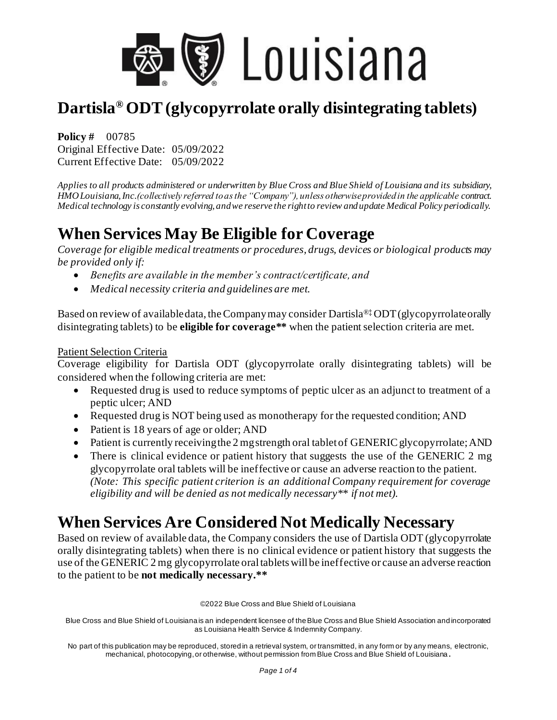

**Policy #** 00785 Original Effective Date: 05/09/2022 Current Effective Date: 05/09/2022

*Applies to all products administered or underwritten by Blue Cross and Blue Shield of Louisiana and its subsidiary, HMO Louisiana, Inc.(collectively referred to as the "Company"), unless otherwise provided in the applicable contract. Medical technology is constantly evolving, and we reserve the right to review and update Medical Policy periodically.* 

## **When Services May Be Eligible for Coverage**

*Coverage for eligible medical treatments or procedures, drugs, devices or biological products may be provided only if:*

- *Benefits are available in the member's contract/certificate, and*
- *Medical necessity criteria and guidelines are met.*

Based on review of available data, the Company may consider Dartisla®‡ ODT (glycopyrrolate orally disintegrating tablets) to be **eligible for coverage\*\*** when the patient selection criteria are met.

#### Patient Selection Criteria

Coverage eligibility for Dartisla ODT (glycopyrrolate orally disintegrating tablets) will be considered when the following criteria are met:

- Requested drug is used to reduce symptoms of peptic ulcer as an adjunct to treatment of a peptic ulcer; AND
- Requested drug is NOT being used as monotherapy for the requested condition; AND
- Patient is 18 years of age or older; AND
- Patient is currently receiving the 2 mg strength oral tablet of GENERIC glycopyrrolate; AND
- There is clinical evidence or patient history that suggests the use of the GENERIC 2 mg glycopyrrolate oral tablets will be ineffective or cause an adverse reaction to the patient. *(Note: This specific patient criterion is an additional Company requirement for coverage eligibility and will be denied as not medically necessary\*\* if not met).*

### **When Services Are Considered Not Medically Necessary**

Based on review of available data, the Company considers the use of Dartisla ODT (glycopyrrolate orally disintegrating tablets) when there is no clinical evidence or patient history that suggests the use of the GENERIC 2 mg glycopyrrolate oral tablets will be ineffective or cause an adverse reaction to the patient to be **not medically necessary.\*\***

©2022 Blue Cross and Blue Shield of Louisiana

Blue Cross and Blue Shield of Louisiana is an independent licensee of the Blue Cross and Blue Shield Association and incorporated as Louisiana Health Service & Indemnity Company.

No part of this publication may be reproduced, stored in a retrieval system, or transmitted, in any form or by any means, electronic, mechanical, photocopying, or otherwise, without permission from Blue Cross and Blue Shield of Louisiana **.**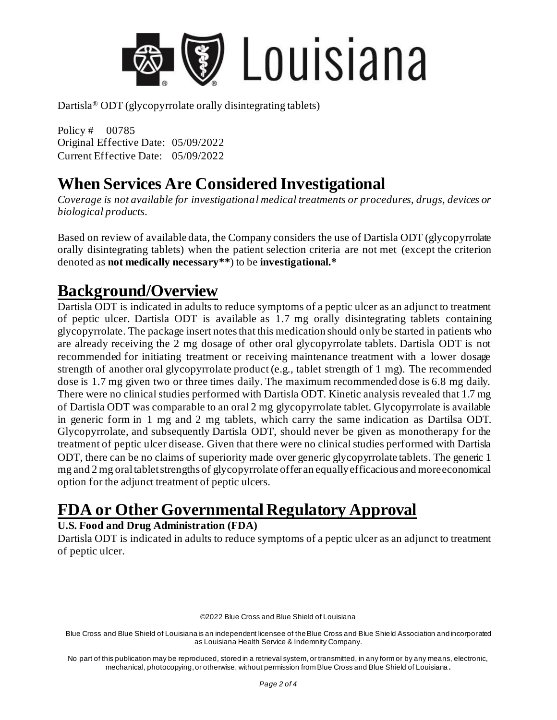

Policy # 00785 Original Effective Date: 05/09/2022 Current Effective Date: 05/09/2022

## **When Services Are Considered Investigational**

*Coverage is not available for investigational medical treatments or procedures, drugs, devices or biological products.*

Based on review of available data, the Company considers the use of Dartisla ODT (glycopyrrolate orally disintegrating tablets) when the patient selection criteria are not met (except the criterion denoted as **not medically necessary\*\***) to be **investigational.\***

#### **Background/Overview**

Dartisla ODT is indicated in adults to reduce symptoms of a peptic ulcer as an adjunct to treatment of peptic ulcer. Dartisla ODT is available as 1.7 mg orally disintegrating tablets containing glycopyrrolate. The package insert notes that this medication should only be started in patients who are already receiving the 2 mg dosage of other oral glycopyrrolate tablets. Dartisla ODT is not recommended for initiating treatment or receiving maintenance treatment with a lower dosage strength of another oral glycopyrrolate product (e.g., tablet strength of 1 mg). The recommended dose is 1.7 mg given two or three times daily. The maximum recommended dose is 6.8 mg daily. There were no clinical studies performed with Dartisla ODT. Kinetic analysis revealed that 1.7 mg of Dartisla ODT was comparable to an oral 2 mg glycopyrrolate tablet. Glycopyrrolate is available in generic form in 1 mg and 2 mg tablets, which carry the same indication as Dartilsa ODT. Glycopyrrolate, and subsequently Dartisla ODT, should never be given as monotherapy for the treatment of peptic ulcer disease. Given that there were no clinical studies performed with Dartisla ODT, there can be no claims of superiority made over generic glycopyrrolate tablets. The generic 1 mg and 2 mg oral tablet strengths of glycopyrrolate offer an equally efficacious and more economical option for the adjunct treatment of peptic ulcers.

## **FDA or Other Governmental Regulatory Approval**

#### **U.S. Food and Drug Administration (FDA)**

Dartisla ODT is indicated in adults to reduce symptoms of a peptic ulcer as an adjunct to treatment of peptic ulcer.

©2022 Blue Cross and Blue Shield of Louisiana

Blue Cross and Blue Shield of Louisiana is an independent licensee of the Blue Cross and Blue Shield Association and incorporated as Louisiana Health Service & Indemnity Company.

No part of this publication may be reproduced, stored in a retrieval system, or transmitted, in any form or by any means, electronic, mechanical, photocopying, or otherwise, without permission from Blue Cross and Blue Shield of Louisiana **.**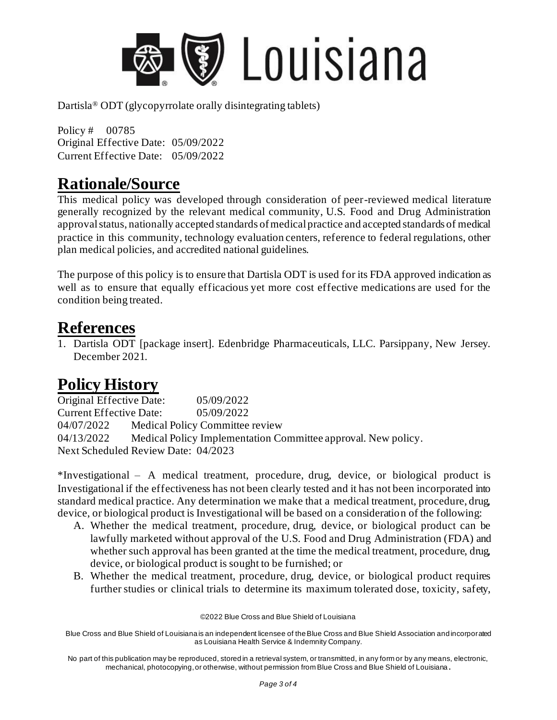

Policy # 00785 Original Effective Date: 05/09/2022 Current Effective Date: 05/09/2022

### **Rationale/Source**

This medical policy was developed through consideration of peer-reviewed medical literature generally recognized by the relevant medical community, U.S. Food and Drug Administration approval status, nationally accepted standards of medical practice and accepted standards of medical practice in this community, technology evaluation centers, reference to federal regulations, other plan medical policies, and accredited national guidelines.

The purpose of this policy is to ensure that Dartisla ODT is used for its FDA approved indication as well as to ensure that equally efficacious yet more cost effective medications are used for the condition being treated.

#### **References**

1. Dartisla ODT [package insert]. Edenbridge Pharmaceuticals, LLC. Parsippany, New Jersey. December 2021.

## **Policy History**

Original Effective Date: 05/09/2022 Current Effective Date: 05/09/2022 04/07/2022 Medical Policy Committee review 04/13/2022 Medical Policy Implementation Committee approval. New policy. Next Scheduled Review Date: 04/2023

\*Investigational – A medical treatment, procedure, drug, device, or biological product is Investigational if the effectiveness has not been clearly tested and it has not been incorporated into standard medical practice. Any determination we make that a medical treatment, procedure, drug, device, or biological product is Investigational will be based on a consideration of the following:

- A. Whether the medical treatment, procedure, drug, device, or biological product can be lawfully marketed without approval of the U.S. Food and Drug Administration (FDA) and whether such approval has been granted at the time the medical treatment, procedure, drug, device, or biological product is sought to be furnished; or
- B. Whether the medical treatment, procedure, drug, device, or biological product requires further studies or clinical trials to determine its maximum tolerated dose, toxicity, safety,

©2022 Blue Cross and Blue Shield of Louisiana

Blue Cross and Blue Shield of Louisiana is an independent licensee of the Blue Cross and Blue Shield Association and incorporated as Louisiana Health Service & Indemnity Company.

No part of this publication may be reproduced, stored in a retrieval system, or transmitted, in any form or by any means, electronic, mechanical, photocopying, or otherwise, without permission from Blue Cross and Blue Shield of Louisiana **.**